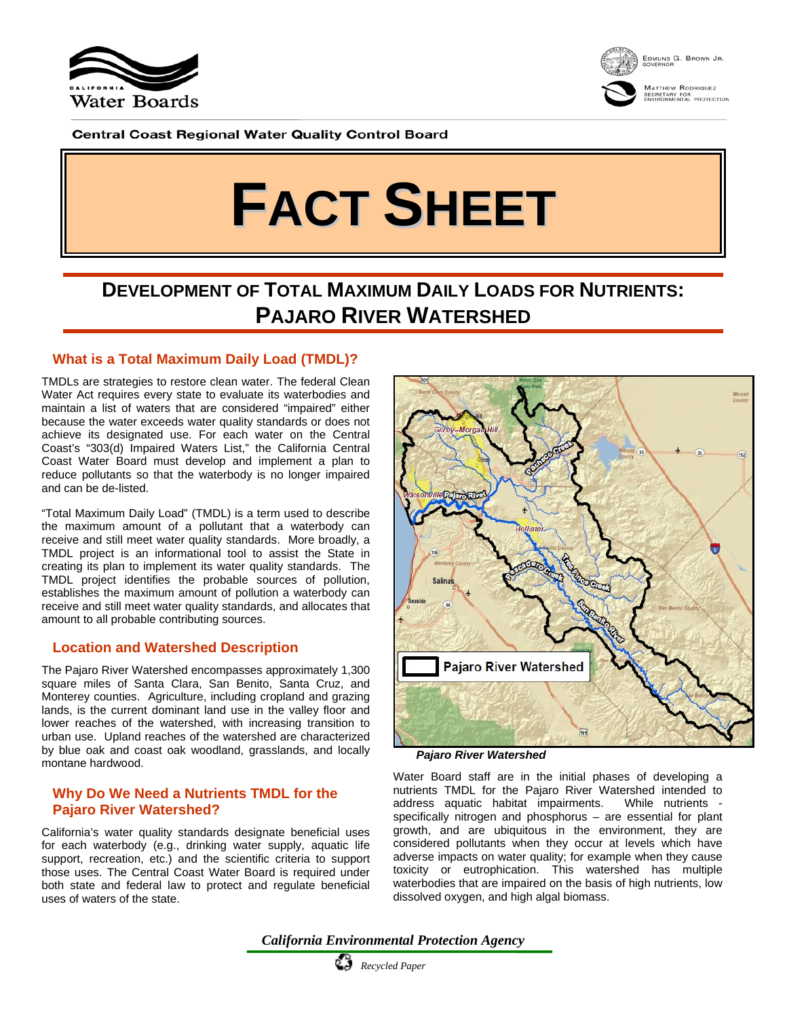



Matthew Rodriquez<br>secretary for<br>environmental protection

**Central Coast Regional Water Quality Control Board** 

# **FACT SHEET**

# **DEVELOPMENT OF TOTAL MAXIMUM DAILY LOADS FOR NUTRIENTS: PAJARO RIVER WATERSHED**

## **What is a Total Maximum Daily Load (TMDL)?**

TMDLs are strategies to restore clean water. The federal Clean Water Act requires every state to evaluate its waterbodies and maintain a list of waters that are considered "impaired" either because the water exceeds water quality standards or does not achieve its designated use. For each water on the Central Coast's "303(d) Impaired Waters List," the California Central Coast Water Board must develop and implement a plan to reduce pollutants so that the waterbody is no longer impaired and can be de-listed.

"Total Maximum Daily Load" (TMDL) is a term used to describe the maximum amount of a pollutant that a waterbody can receive and still meet water quality standards. More broadly, a TMDL project is an informational tool to assist the State in creating its plan to implement its water quality standards. The TMDL project identifies the probable sources of pollution, establishes the maximum amount of pollution a waterbody can receive and still meet water quality standards, and allocates that amount to all probable contributing sources.

#### **Location and Watershed Description**

The Pajaro River Watershed encompasses approximately 1,300 square miles of Santa Clara, San Benito, Santa Cruz, and Monterey counties. Agriculture, including cropland and grazing lands, is the current dominant land use in the valley floor and lower reaches of the watershed, with increasing transition to urban use. Upland reaches of the watershed are characterized by blue oak and coast oak woodland, grasslands, and locally montane hardwood.

### **Why Do We Need a Nutrients TMDL for the Pajaro River Watershed?**

California's water quality standards designate beneficial uses for each waterbody (e.g., drinking water supply, aquatic life support, recreation, etc.) and the scientific criteria to support those uses. The Central Coast Water Board is required under both state and federal law to protect and regulate beneficial uses of waters of the state.



*Pajaro River Watershed*

Water Board staff are in the initial phases of developing a nutrients TMDL for the Pajaro River Watershed intended to address aquatic habitat impairments. While nutrients specifically nitrogen and phosphorus – are essential for plant growth, and are ubiquitous in the environment, they are considered pollutants when they occur at levels which have adverse impacts on water quality; for example when they cause toxicity or eutrophication. This watershed has multiple waterbodies that are impaired on the basis of high nutrients, low dissolved oxygen, and high algal biomass.

*California Environmental Protection Agency*

 *Recycled Paper*